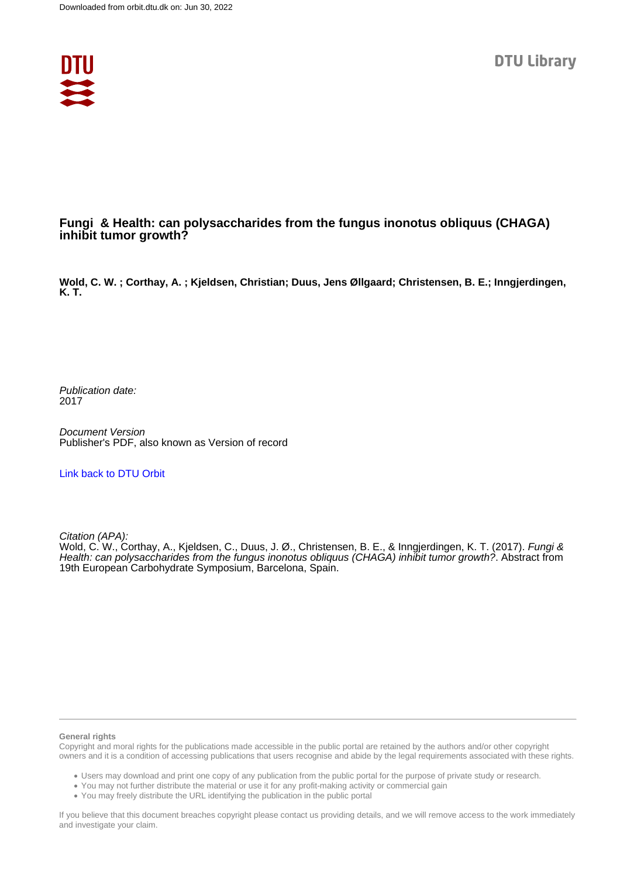

## **Fungi & Health: can polysaccharides from the fungus inonotus obliquus (CHAGA) inhibit tumor growth?**

**Wold, C. W. ; Corthay, A. ; Kjeldsen, Christian; Duus, Jens Øllgaard; Christensen, B. E.; Inngjerdingen, K. T.**

Publication date: 2017

Document Version Publisher's PDF, also known as Version of record

[Link back to DTU Orbit](https://orbit.dtu.dk/en/publications/1ac518e9-26d0-4f14-ad19-f64e2740d854)

Citation (APA):

Wold, C. W., Corthay, A., Kjeldsen, C., Duus, J. Ø., Christensen, B. E., & Inngjerdingen, K. T. (2017). Fungi & Health: can polysaccharides from the fungus inonotus obliquus (CHAGA) inhibit tumor growth?. Abstract from 19th European Carbohydrate Symposium, Barcelona, Spain.

## **General rights**

Copyright and moral rights for the publications made accessible in the public portal are retained by the authors and/or other copyright owners and it is a condition of accessing publications that users recognise and abide by the legal requirements associated with these rights.

Users may download and print one copy of any publication from the public portal for the purpose of private study or research.

- You may not further distribute the material or use it for any profit-making activity or commercial gain
- You may freely distribute the URL identifying the publication in the public portal

If you believe that this document breaches copyright please contact us providing details, and we will remove access to the work immediately and investigate your claim.